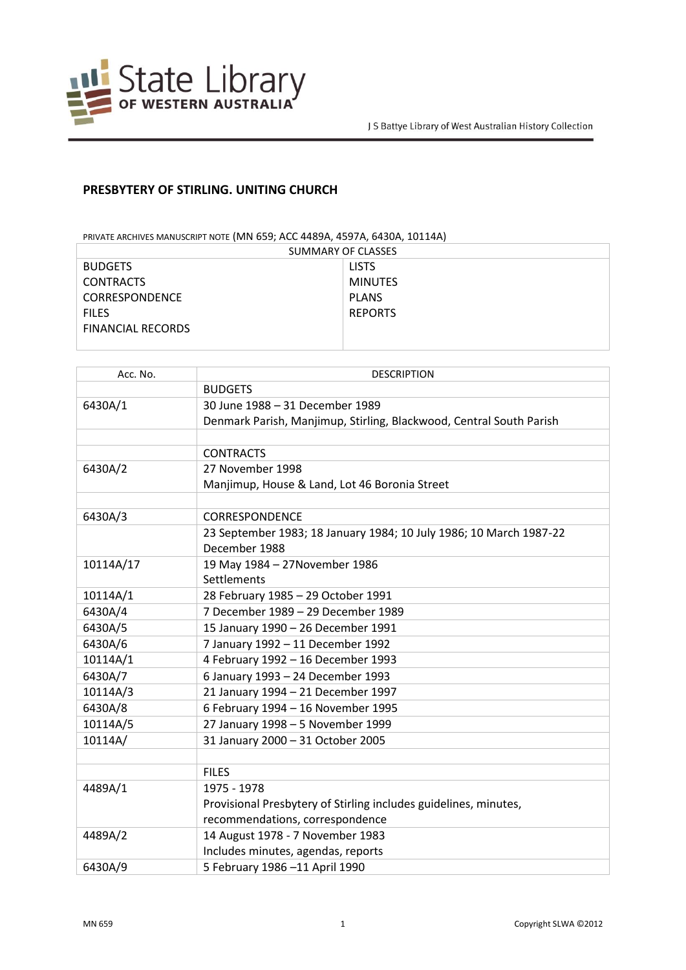

## **PRESBYTERY OF STIRLING. UNITING CHURCH**

PRIVATE ARCHIVES MANUSCRIPT NOTE (MN 659; ACC 4489A, 4597A, 6430A, 10114A)

| SUMMARY OF CLASSES       |                |  |
|--------------------------|----------------|--|
| <b>BUDGETS</b>           | <b>LISTS</b>   |  |
| <b>CONTRACTS</b>         | <b>MINUTES</b> |  |
| <b>CORRESPONDENCE</b>    | <b>PLANS</b>   |  |
| <b>FILES</b>             | <b>REPORTS</b> |  |
| <b>FINANCIAL RECORDS</b> |                |  |
|                          |                |  |

| Acc. No.  | <b>DESCRIPTION</b>                                                  |
|-----------|---------------------------------------------------------------------|
|           | <b>BUDGETS</b>                                                      |
| 6430A/1   | 30 June 1988 - 31 December 1989                                     |
|           | Denmark Parish, Manjimup, Stirling, Blackwood, Central South Parish |
|           |                                                                     |
|           | <b>CONTRACTS</b>                                                    |
| 6430A/2   | 27 November 1998                                                    |
|           | Manjimup, House & Land, Lot 46 Boronia Street                       |
|           |                                                                     |
| 6430A/3   | <b>CORRESPONDENCE</b>                                               |
|           | 23 September 1983; 18 January 1984; 10 July 1986; 10 March 1987-22  |
|           | December 1988                                                       |
| 10114A/17 | 19 May 1984 - 27 November 1986                                      |
|           | Settlements                                                         |
| 10114A/1  | 28 February 1985 - 29 October 1991                                  |
| 6430A/4   | 7 December 1989 - 29 December 1989                                  |
| 6430A/5   | 15 January 1990 - 26 December 1991                                  |
| 6430A/6   | 7 January 1992 - 11 December 1992                                   |
| 10114A/1  | 4 February 1992 - 16 December 1993                                  |
| 6430A/7   | 6 January 1993 - 24 December 1993                                   |
| 10114A/3  | 21 January 1994 - 21 December 1997                                  |
| 6430A/8   | 6 February 1994 - 16 November 1995                                  |
| 10114A/5  | 27 January 1998 - 5 November 1999                                   |
| 10114A/   | 31 January 2000 - 31 October 2005                                   |
|           |                                                                     |
|           | <b>FILES</b>                                                        |
| 4489A/1   | 1975 - 1978                                                         |
|           | Provisional Presbytery of Stirling includes guidelines, minutes,    |
|           | recommendations, correspondence                                     |
| 4489A/2   | 14 August 1978 - 7 November 1983                                    |
|           | Includes minutes, agendas, reports                                  |
| 6430A/9   | 5 February 1986 -11 April 1990                                      |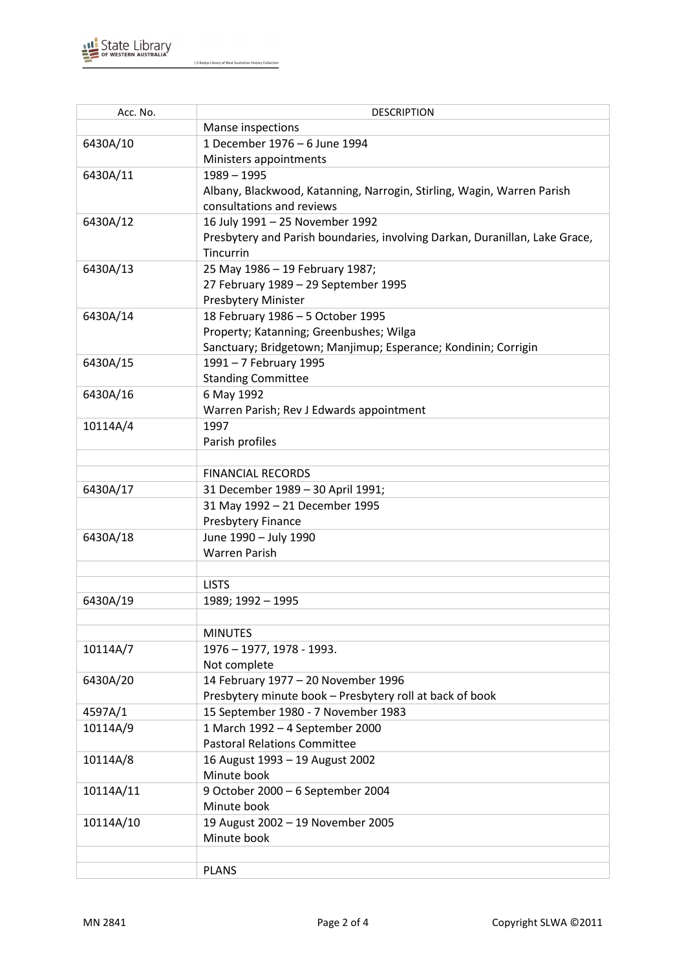

J S Battye Library of West Australian History Collection

| Acc. No.  | <b>DESCRIPTION</b>                                                          |
|-----------|-----------------------------------------------------------------------------|
|           | Manse inspections                                                           |
| 6430A/10  | 1 December 1976 - 6 June 1994                                               |
|           | Ministers appointments                                                      |
| 6430A/11  | $1989 - 1995$                                                               |
|           | Albany, Blackwood, Katanning, Narrogin, Stirling, Wagin, Warren Parish      |
|           | consultations and reviews                                                   |
| 6430A/12  | 16 July 1991 - 25 November 1992                                             |
|           | Presbytery and Parish boundaries, involving Darkan, Duranillan, Lake Grace, |
|           | Tincurrin                                                                   |
| 6430A/13  | 25 May 1986 - 19 February 1987;                                             |
|           | 27 February 1989 - 29 September 1995                                        |
|           | Presbytery Minister                                                         |
| 6430A/14  | 18 February 1986 - 5 October 1995                                           |
|           | Property; Katanning; Greenbushes; Wilga                                     |
|           | Sanctuary; Bridgetown; Manjimup; Esperance; Kondinin; Corrigin              |
| 6430A/15  | 1991 - 7 February 1995                                                      |
|           | <b>Standing Committee</b>                                                   |
| 6430A/16  | 6 May 1992                                                                  |
|           | Warren Parish; Rev J Edwards appointment                                    |
| 10114A/4  | 1997                                                                        |
|           | Parish profiles                                                             |
|           |                                                                             |
|           | <b>FINANCIAL RECORDS</b>                                                    |
| 6430A/17  | 31 December 1989 - 30 April 1991;                                           |
|           | 31 May 1992 - 21 December 1995                                              |
|           | Presbytery Finance                                                          |
| 6430A/18  | June 1990 - July 1990                                                       |
|           | <b>Warren Parish</b>                                                        |
|           |                                                                             |
|           | <b>LISTS</b>                                                                |
| 6430A/19  | 1989; 1992 - 1995                                                           |
|           |                                                                             |
|           | <b>MINUTES</b>                                                              |
| 10114A/7  | 1976 - 1977, 1978 - 1993.                                                   |
|           | Not complete                                                                |
| 6430A/20  | 14 February 1977 - 20 November 1996                                         |
|           | Presbytery minute book - Presbytery roll at back of book                    |
| 4597A/1   | 15 September 1980 - 7 November 1983                                         |
| 10114A/9  | 1 March 1992 - 4 September 2000                                             |
|           | <b>Pastoral Relations Committee</b>                                         |
| 10114A/8  | 16 August 1993 - 19 August 2002                                             |
|           | Minute book                                                                 |
| 10114A/11 | 9 October 2000 - 6 September 2004                                           |
|           | Minute book                                                                 |
| 10114A/10 | 19 August 2002 - 19 November 2005                                           |
|           | Minute book                                                                 |
|           |                                                                             |
|           | <b>PLANS</b>                                                                |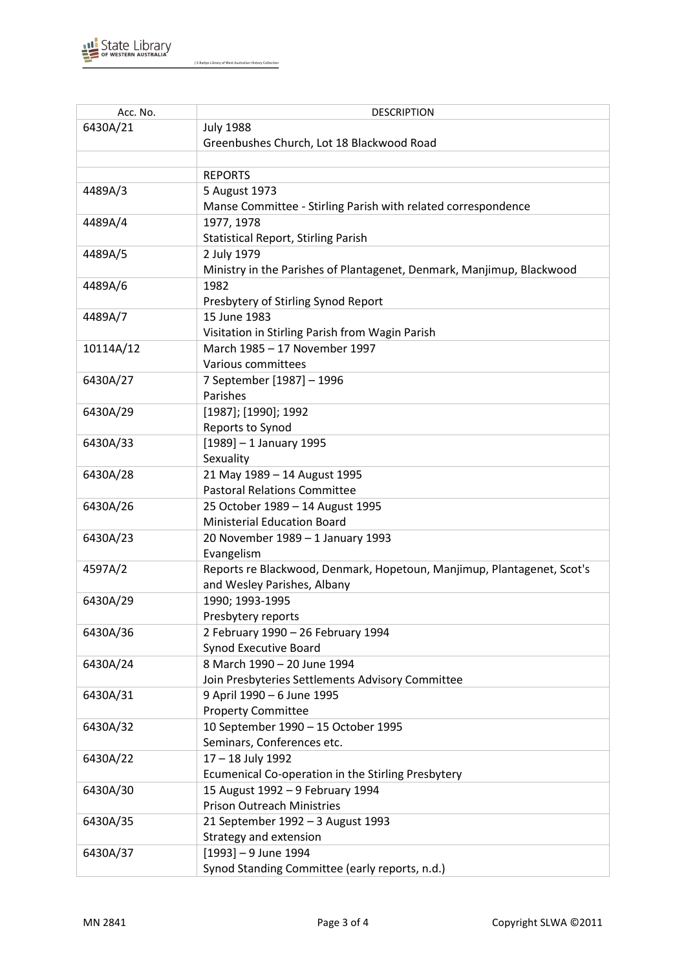

J S Battye Library of West Australian History Collection

| Acc. No.  | <b>DESCRIPTION</b>                                                            |
|-----------|-------------------------------------------------------------------------------|
| 6430A/21  | <b>July 1988</b>                                                              |
|           | Greenbushes Church, Lot 18 Blackwood Road                                     |
|           |                                                                               |
|           | <b>REPORTS</b>                                                                |
| 4489A/3   | 5 August 1973                                                                 |
|           | Manse Committee - Stirling Parish with related correspondence                 |
| 4489A/4   | 1977, 1978                                                                    |
|           | <b>Statistical Report, Stirling Parish</b>                                    |
|           |                                                                               |
| 4489A/5   | 2 July 1979                                                                   |
|           | Ministry in the Parishes of Plantagenet, Denmark, Manjimup, Blackwood<br>1982 |
| 4489A/6   |                                                                               |
|           | Presbytery of Stirling Synod Report                                           |
| 4489A/7   | 15 June 1983                                                                  |
|           | Visitation in Stirling Parish from Wagin Parish                               |
| 10114A/12 | March 1985 - 17 November 1997                                                 |
|           | Various committees                                                            |
| 6430A/27  | 7 September [1987] - 1996                                                     |
|           | Parishes                                                                      |
| 6430A/29  | [1987]; [1990]; 1992                                                          |
|           | Reports to Synod                                                              |
| 6430A/33  | $[1989] - 1$ January 1995                                                     |
|           | Sexuality                                                                     |
| 6430A/28  | 21 May 1989 - 14 August 1995                                                  |
|           | <b>Pastoral Relations Committee</b>                                           |
| 6430A/26  | 25 October 1989 - 14 August 1995                                              |
|           | <b>Ministerial Education Board</b>                                            |
| 6430A/23  | 20 November 1989 - 1 January 1993                                             |
|           | Evangelism                                                                    |
| 4597A/2   | Reports re Blackwood, Denmark, Hopetoun, Manjimup, Plantagenet, Scot's        |
|           | and Wesley Parishes, Albany                                                   |
| 6430A/29  | 1990; 1993-1995                                                               |
|           | Presbytery reports                                                            |
| 6430A/36  | 2 February 1990 - 26 February 1994                                            |
|           | <b>Synod Executive Board</b>                                                  |
| 6430A/24  | 8 March 1990 - 20 June 1994                                                   |
|           | Join Presbyteries Settlements Advisory Committee                              |
| 6430A/31  | 9 April 1990 - 6 June 1995                                                    |
|           | <b>Property Committee</b>                                                     |
| 6430A/32  | 10 September 1990 - 15 October 1995                                           |
|           | Seminars, Conferences etc.                                                    |
| 6430A/22  | 17 - 18 July 1992                                                             |
|           | Ecumenical Co-operation in the Stirling Presbytery                            |
| 6430A/30  | 15 August 1992 - 9 February 1994                                              |
|           | <b>Prison Outreach Ministries</b>                                             |
| 6430A/35  | 21 September 1992 - 3 August 1993                                             |
|           | Strategy and extension                                                        |
| 6430A/37  | $[1993] - 9$ June 1994                                                        |
|           | Synod Standing Committee (early reports, n.d.)                                |